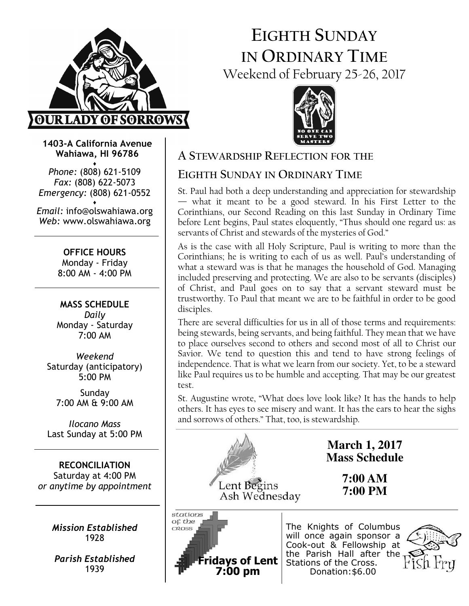

# EIGHTH SUNDAY IN ORDINARY TIME Weekend of February 25-26, 2017



1403-A California Avenue Wahiawa, HI 96786

♦ Phone: (808) 621-5109 Fax: (808) 622-5073 Emergency: (808) 621-0552 ♦

Email: info@olswahiawa.org Web: www.olswahiawa.org

> OFFICE HOURS Monday - Friday 8:00 AM - 4:00 PM

MASS SCHEDULE Daily Monday - Saturday 7:00 AM

Weekend Saturday (anticipatory) 5:00 PM

Sunday 7:00 AM & 9:00 AM

Ilocano Mass Last Sunday at 5:00 PM

RECONCILIATION Saturday at 4:00 PM or anytime by appointment

> Mission Established 1928

Parish Established 1939

# A STEWARDSHIP REFLECTION FOR THE

# EIGHTH SUNDAY IN ORDINARY TIME

St. Paul had both a deep understanding and appreciation for stewardship — what it meant to be a good steward. In his First Letter to the Corinthians, our Second Reading on this last Sunday in Ordinary Time before Lent begins, Paul states eloquently, "Thus should one regard us: as servants of Christ and stewards of the mysteries of God."

As is the case with all Holy Scripture, Paul is writing to more than the Corinthians; he is writing to each of us as well. Paul's understanding of what a steward was is that he manages the household of God. Managing included preserving and protecting. We are also to be servants (disciples) of Christ, and Paul goes on to say that a servant steward must be trustworthy. To Paul that meant we are to be faithful in order to be good disciples.

There are several difficulties for us in all of those terms and requirements: being stewards, being servants, and being faithful. They mean that we have to place ourselves second to others and second most of all to Christ our Savior. We tend to question this and tend to have strong feelings of independence. That is what we learn from our society. Yet, to be a steward like Paul requires us to be humble and accepting. That may be our greatest test.

St. Augustine wrote, "What does love look like? It has the hands to help others. It has eyes to see misery and want. It has the ears to hear the sighs and sorrows of others." That, too, is stewardship.



**March 1, 2017 Mass Schedule** 

> **7:00 AM 7:00 PM**

Lent Begins Ash Wednesday



The Knights of Columbus will once again sponsor a Cook-out & Fellowship at the Parish Hall after the Stations of the Cross. Donation:\$6.00

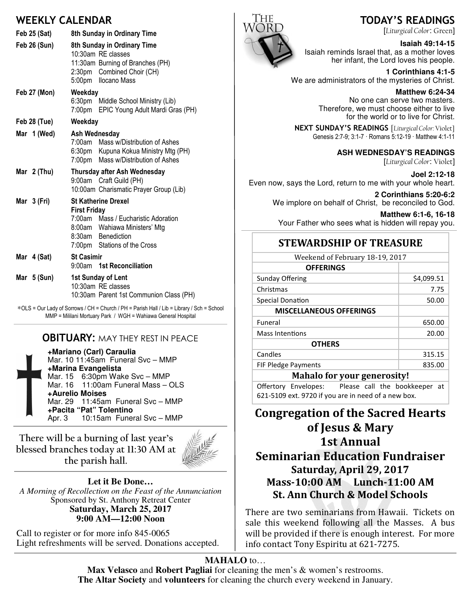# WEEKLY CALENDAR

| <b>Feb 25 (Sat)</b> | 8th Sunday in Ordinary Time                                                                                                                                                        |  |
|---------------------|------------------------------------------------------------------------------------------------------------------------------------------------------------------------------------|--|
| Feb 26 (Sun)        | 8th Sunday in Ordinary Time<br>10:30am RE classes<br>11:30am Burning of Branches (PH)<br>2:30pm Combined Choir (CH)<br>5:00pm Ilocano Mass                                         |  |
| Feb 27 (Mon)        | Weekday<br>6:30pm Middle School Ministry (Lib)<br>EPIC Young Adult Mardi Gras (PH)<br>7:00pm                                                                                       |  |
| Feb 28 (Tue)        | Weekday                                                                                                                                                                            |  |
| Mar 1 (Wed)         | Ash Wednesday<br>7:00am Mass w/Distribution of Ashes<br>6:30pm Kupuna Kokua Ministry Mtg (PH)<br>7:00pm Mass w/Distribution of Ashes                                               |  |
| Mar $2$ (Thu)       | Thursday after Ash Wednesday<br>9:00am Craft Guild (PH)<br>10:00am Charismatic Prayer Group (Lib)                                                                                  |  |
| Mar 3 (Fri)         | <b>St Katherine Drexel</b><br><b>First Friday</b><br>7:00am<br>Mass / Eucharistic Adoration<br>8:00am Wahiawa Ministers' Mtg<br>8:30am Benediction<br>7:00pm Stations of the Cross |  |
| Mar 4 (Sat)         | <b>St Casimir</b><br>9:00am 1st Reconciliation                                                                                                                                     |  |
| Mar $5 (Sun)$       | 1st Sunday of Lent<br>10:30am RE classes<br>10:30am Parent 1st Communion Class (PH)                                                                                                |  |

∗OLS = Our Lady of Sorrows / CH = Church / PH = Parish Hall / Lib = Library / Sch = School MMP = Mililani Mortuary Park / WGH = Wahiawa General Hospital

## **OBITUARY: MAY THEY REST IN PEACE**

**+Mariano (Carl) Caraulia** Mar. 10 11:45am Funeral Svc – MMP **+Marina Evangelista** Mar. 15 6:30pm Wake Svc – MMP Mar. 16 11:00am Funeral Mass - OLS **+Aurelio Moises** Mar. 29 11:45am Funeral Svc – MMP **+Pacita "Pat" Tolentino** 10:15am Funeral Svc – MMP

There will be a burning of last year's blessed branches today at 11:30 AM at the parish hall.



**Let it Be Done…** *A Morning of Recollection on the Feast of the Annunciation*  Sponsored by St. Anthony Retreat Center **Saturday, March 25, 2017 9:00 AM—12:00 Noon** 

Call to register or for more info 845-0065 Light refreshments will be served. Donations accepted.



# TODAY'S READINGS

[Liturgical Color: Green]

#### **Isaiah 49:14-15**

Isaiah reminds Israel that, as a mother loves her infant, the Lord loves his people.

**1 Corinthians 4:1-5** We are administrators of the mysteries of Christ.

> **Matthew 6:24-34**  No one can serve two masters. Therefore, we must choose either to live for the world or to live for Christ.

NEXT SUNDAY'S READINGS [Liturgical Color: Violet] Genesis 2:7-9; 3:1-7 · Romans 5:12-19 · Matthew 4:1-11

#### **ASH WEDNESDAY'S READINGS**

[Liturgical Color: Violet]

**Joel 2:12-18**  Even now, says the Lord, return to me with your whole heart.

**2 Corinthians 5:20-6:2**  We implore on behalf of Christ, be reconciled to God.

**Matthew 6:1-6, 16-18**  Your Father who sees what is hidden will repay you.

### **STEWARDSHIP OF TREASURE**

| Weekend of February 18-19, 2017    |            |  |
|------------------------------------|------------|--|
| <b>OFFERINGS</b>                   |            |  |
| Sunday Offering                    | \$4,099.51 |  |
| Christmas                          | 7.75       |  |
| Special Donation                   | 50.00      |  |
| <b>MISCELLANEOUS OFFERINGS</b>     |            |  |
| Funeral                            | 650.00     |  |
| Mass Intentions                    | 20.00      |  |
| <b>OTHERS</b>                      |            |  |
| Candles                            | 315.15     |  |
| <b>FIF Pledge Payments</b>         | 835.00     |  |
| <b>Mahalo for your generosity!</b> |            |  |

Offertory Envelopes: Please call the bookkeeper at 621-5109 ext. 9720 if you are in need of a new box.

# Congregation of the Sacred Hearts of Jesus & Mary 1st Annual **Seminarian Education Fundraiser** Saturday, April 29, 2017 Mass-10:00 AM Lunch-11:00 AM St. Ann Church & Model Schools

There are two seminarians from Hawaii. Tickets on sale this weekend following all the Masses. A bus will be provided if there is enough interest. For more info contact Tony Espiritu at 621-7275.

#### **MAHALO** to…

**Max Velasco** and **Robert Pagliai** for cleaning the men's & women's restrooms. **The Altar Society** and **volunteers** for cleaning the church every weekend in January.